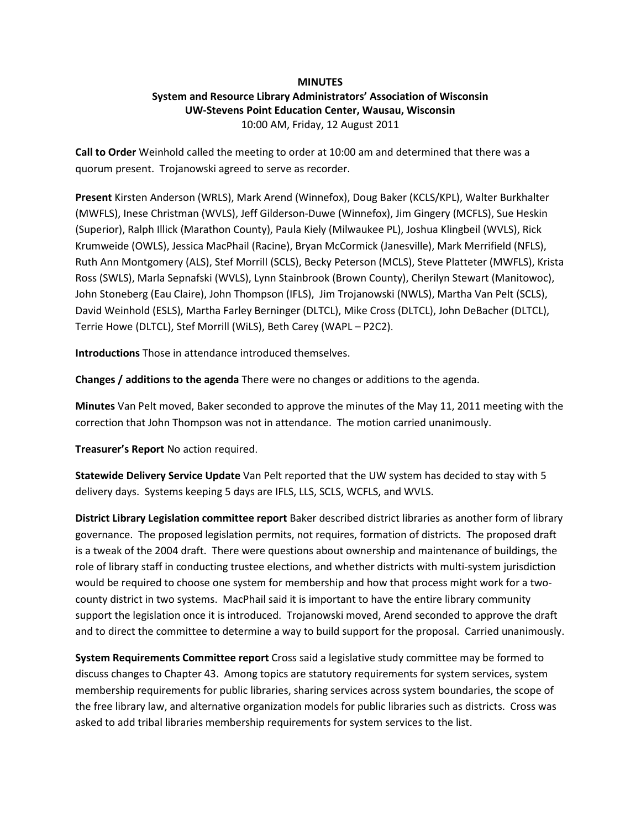### **MINUTES**

# System and Resource Library Administrators' Association of Wisconsin UW-Stevens Point Education Center, Wausau, Wisconsin 10:00 AM, Friday, 12 August 2011

Call to Order Weinhold called the meeting to order at 10:00 am and determined that there was a quorum present. Trojanowski agreed to serve as recorder.

Present Kirsten Anderson (WRLS), Mark Arend (Winnefox), Doug Baker (KCLS/KPL), Walter Burkhalter (MWFLS), Inese Christman (WVLS), Jeff Gilderson-Duwe (Winnefox), Jim Gingery (MCFLS), Sue Heskin (Superior), Ralph Illick (Marathon County), Paula Kiely (Milwaukee PL), Joshua Klingbeil (WVLS), Rick Krumweide (OWLS), Jessica MacPhail (Racine), Bryan McCormick (Janesville), Mark Merrifield (NFLS), Ruth Ann Montgomery (ALS), Stef Morrill (SCLS), Becky Peterson (MCLS), Steve Platteter (MWFLS), Krista Ross (SWLS), Marla Sepnafski (WVLS), Lynn Stainbrook (Brown County), Cherilyn Stewart (Manitowoc), John Stoneberg (Eau Claire), John Thompson (IFLS), Jim Trojanowski (NWLS), Martha Van Pelt (SCLS), David Weinhold (ESLS), Martha Farley Berninger (DLTCL), Mike Cross (DLTCL), John DeBacher (DLTCL), Terrie Howe (DLTCL), Stef Morrill (WiLS), Beth Carey (WAPL – P2C2).

Introductions Those in attendance introduced themselves.

Changes / additions to the agenda There were no changes or additions to the agenda.

Minutes Van Pelt moved, Baker seconded to approve the minutes of the May 11, 2011 meeting with the correction that John Thompson was not in attendance. The motion carried unanimously.

Treasurer's Report No action required.

Statewide Delivery Service Update Van Pelt reported that the UW system has decided to stay with 5 delivery days. Systems keeping 5 days are IFLS, LLS, SCLS, WCFLS, and WVLS.

District Library Legislation committee report Baker described district libraries as another form of library governance. The proposed legislation permits, not requires, formation of districts. The proposed draft is a tweak of the 2004 draft. There were questions about ownership and maintenance of buildings, the role of library staff in conducting trustee elections, and whether districts with multi-system jurisdiction would be required to choose one system for membership and how that process might work for a twocounty district in two systems. MacPhail said it is important to have the entire library community support the legislation once it is introduced. Trojanowski moved, Arend seconded to approve the draft and to direct the committee to determine a way to build support for the proposal. Carried unanimously.

System Requirements Committee report Cross said a legislative study committee may be formed to discuss changes to Chapter 43. Among topics are statutory requirements for system services, system membership requirements for public libraries, sharing services across system boundaries, the scope of the free library law, and alternative organization models for public libraries such as districts. Cross was asked to add tribal libraries membership requirements for system services to the list.